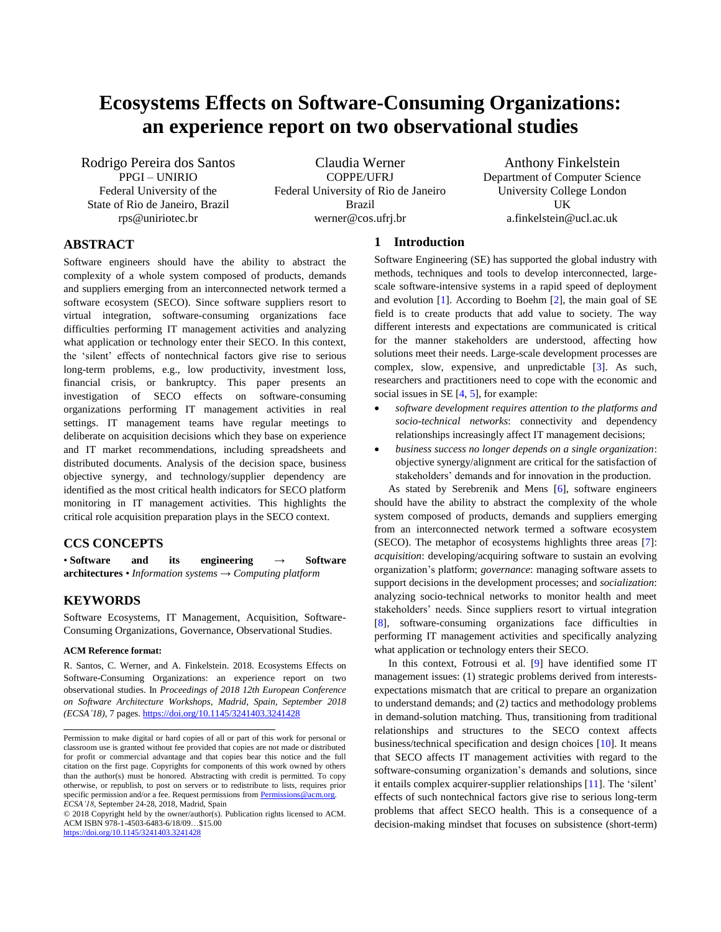# **Ecosystems Effects on Software-Consuming Organizations: an experience report on two observational studies**

Rodrigo Pereira dos Santos PPGI – UNIRIO Federal University of the State of Rio de Janeiro, Brazil rps@uniriotec.br

Claudia Werner COPPE/UFRJ Federal University of Rio de Janeiro Brazil werner@cos.ufrj.br

Anthony Finkelstein Department of Computer Science University College London **IK** a.finkelstein@ucl.ac.uk

# **ABSTRACT**

Software engineers should have the ability to abstract the complexity of a whole system composed of products, demands and suppliers emerging from an interconnected network termed a software ecosystem (SECO). Since software suppliers resort to virtual integration, software-consuming organizations face difficulties performing IT management activities and analyzing what application or technology enter their SECO. In this context, the 'silent' effects of nontechnical factors give rise to serious long-term problems, e.g., low productivity, investment loss, financial crisis, or bankruptcy. This paper presents an investigation of SECO effects on software-consuming organizations performing IT management activities in real settings. IT management teams have regular meetings to deliberate on acquisition decisions which they base on experience and IT market recommendations, including spreadsheets and distributed documents. Analysis of the decision space, business objective synergy, and technology/supplier dependency are identified as the most critical health indicators for SECO platform monitoring in IT management activities. This highlights the critical role acquisition preparation plays in the SECO context.

# **CCS CONCEPTS**

• **Software and its engineering** → **Software architectures** • *Information systems* → *Computing platform*

# **KEYWORDS**

Software Ecosystems, IT Management, Acquisition, Software-Consuming Organizations, Governance, Observational Studies.

#### **ACM Reference format:**

R. Santos, C. Werner, and A. Finkelstein. 2018. Ecosystems Effects on Software-Consuming Organizations: an experience report on two observational studies. In *Proceedings of 2018 12th European Conference on Software Architecture Workshops, Madrid, Spain, September 2018 (ECSA'18)*, 7 pages. <https://doi.org/10.1145/3241403.3241428>

#### **1 Introduction**

Software Engineering (SE) has supported the global industry with methods, techniques and tools to develop interconnected, largescale software-intensive systems in a rapid speed of deployment and evolution [1]. According to Boehm [2], the main goal of SE field is to create products that add value to society. The way different interests and expectations are communicated is critical for the manner stakeholders are understood, affecting how solutions meet their needs. Large-scale development processes are complex, slow, expensive, and unpredictable [3]. As such, researchers and practitioners need to cope with the economic and social issues in SE  $[4, 5]$ , for example:

- *software development requires attention to the platforms and socio-technical networks*: connectivity and dependency relationships increasingly affect IT management decisions;
- *business success no longer depends on a single organization*: objective synergy/alignment are critical for the satisfaction of stakeholders' demands and for innovation in the production.

As stated by Serebrenik and Mens [6], software engineers should have the ability to abstract the complexity of the whole system composed of products, demands and suppliers emerging from an interconnected network termed a software ecosystem (SECO). The metaphor of ecosystems highlights three areas [7]: *acquisition*: developing/acquiring software to sustain an evolving organization's platform; *governance*: managing software assets to support decisions in the development processes; and *socialization*: analyzing socio-technical networks to monitor health and meet stakeholders' needs. Since suppliers resort to virtual integration [8], software-consuming organizations face difficulties in performing IT management activities and specifically analyzing what application or technology enters their SECO.

In this context, Fotrousi et al. [9] have identified some IT management issues: (1) strategic problems derived from interestsexpectations mismatch that are critical to prepare an organization to understand demands; and (2) tactics and methodology problems in demand-solution matching. Thus, transitioning from traditional relationships and structures to the SECO context affects business/technical specification and design choices [10]. It means that SECO affects IT management activities with regard to the software-consuming organization's demands and solutions, since it entails complex acquirer-supplier relationships [11]. The 'silent' effects of such nontechnical factors give rise to serious long-term problems that affect SECO health. This is a consequence of a decision-making mindset that focuses on subsistence (short-term)

Permission to make digital or hard copies of all or part of this work for personal or classroom use is granted without fee provided that copies are not made or distributed for profit or commercial advantage and that copies bear this notice and the full citation on the first page. Copyrights for components of this work owned by others than the author(s) must be honored. Abstracting with credit is permitted. To copy otherwise, or republish, to post on servers or to redistribute to lists, requires prior specific permission and/or a fee. Request permissions from Permissions@acm.org. *ECSA'18*, September 24-28, 2018, Madrid, Spain

<sup>© 2018</sup> Copyright held by the owner/author(s). Publication rights licensed to ACM. ACM ISBN 978-1-4503-6483-6/18/09…\$15.00 <https://doi.org/10.1145/3241403.3241428>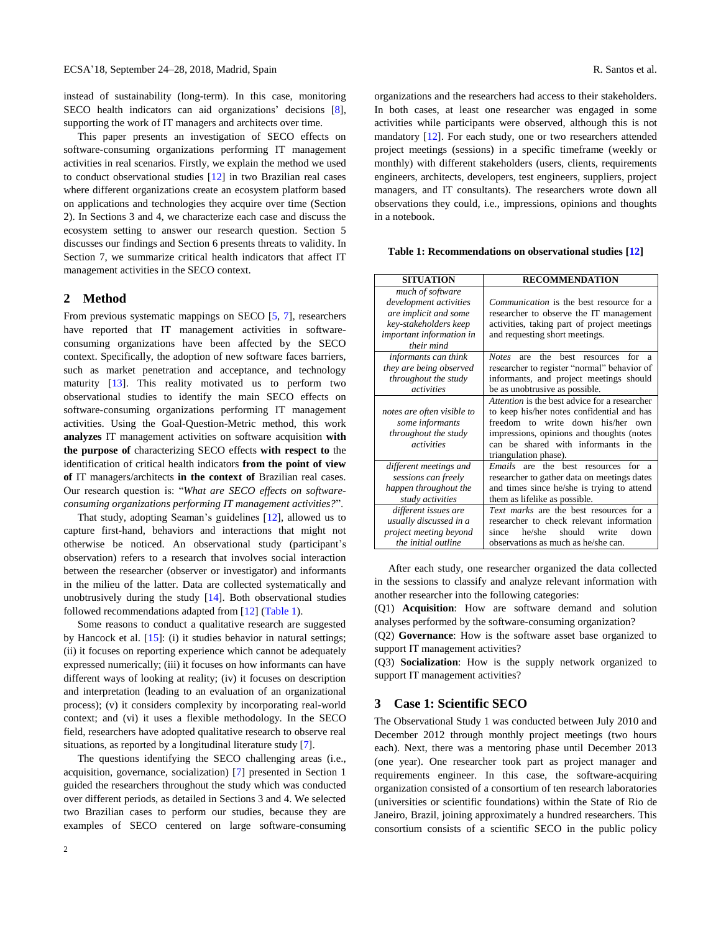instead of sustainability (long-term). In this case, monitoring SECO health indicators can aid organizations' decisions [8], supporting the work of IT managers and architects over time.

This paper presents an investigation of SECO effects on software-consuming organizations performing IT management activities in real scenarios. Firstly, we explain the method we used to conduct observational studies [12] in two Brazilian real cases where different organizations create an ecosystem platform based on applications and technologies they acquire over time (Section 2). In Sections 3 and 4, we characterize each case and discuss the ecosystem setting to answer our research question. Section 5 discusses our findings and Section 6 presents threats to validity. In Section 7, we summarize critical health indicators that affect IT management activities in the SECO context.

#### **2 Method**

From previous systematic mappings on SECO [5, 7], researchers have reported that IT management activities in softwareconsuming organizations have been affected by the SECO context. Specifically, the adoption of new software faces barriers, such as market penetration and acceptance, and technology maturity [13]. This reality motivated us to perform two observational studies to identify the main SECO effects on software-consuming organizations performing IT management activities. Using the Goal-Question-Metric method, this work **analyzes** IT management activities on software acquisition **with the purpose of** characterizing SECO effects **with respect to** the identification of critical health indicators **from the point of view of** IT managers/architects **in the context of** Brazilian real cases. Our research question is: "*What are SECO effects on softwareconsuming organizations performing IT management activities?*".

That study, adopting Seaman's guidelines [12], allowed us to capture first-hand, behaviors and interactions that might not otherwise be noticed. An observational study (participant's observation) refers to a research that involves social interaction between the researcher (observer or investigator) and informants in the milieu of the latter. Data are collected systematically and unobtrusively during the study [14]. Both observational studies followed recommendations adapted from [12] (Table 1).

Some reasons to conduct a qualitative research are suggested by Hancock et al. [15]: (i) it studies behavior in natural settings; (ii) it focuses on reporting experience which cannot be adequately expressed numerically; (iii) it focuses on how informants can have different ways of looking at reality; (iv) it focuses on description and interpretation (leading to an evaluation of an organizational process); (v) it considers complexity by incorporating real-world context; and (vi) it uses a flexible methodology. In the SECO field, researchers have adopted qualitative research to observe real situations, as reported by a longitudinal literature study [7].

The questions identifying the SECO challenging areas (i.e., acquisition, governance, socialization) [7] presented in Section 1 guided the researchers throughout the study which was conducted over different periods, as detailed in Sections 3 and 4. We selected two Brazilian cases to perform our studies, because they are examples of SECO centered on large software-consuming

organizations and the researchers had access to their stakeholders. In both cases, at least one researcher was engaged in some activities while participants were observed, although this is not mandatory [12]. For each study, one or two researchers attended project meetings (sessions) in a specific timeframe (weekly or monthly) with different stakeholders (users, clients, requirements engineers, architects, developers, test engineers, suppliers, project managers, and IT consultants). The researchers wrote down all observations they could, i.e., impressions, opinions and thoughts in a notebook.

**Table 1: Recommendations on observational studies [12]**

| <b>SITUATION</b>           | <b>RECOMMENDATION</b>                                    |  |
|----------------------------|----------------------------------------------------------|--|
| much of software           |                                                          |  |
| development activities     | <i>Communication</i> is the best resource for a          |  |
| are implicit and some      | researcher to observe the IT management                  |  |
| key-stakeholders keep      | activities, taking part of project meetings              |  |
| important information in   | and requesting short meetings.                           |  |
| their mind                 |                                                          |  |
| informants can think       | the<br>hest resources<br>for<br><i>Notes</i><br>are<br>a |  |
| they are being observed    | researcher to register "normal" behavior of              |  |
| throughout the study       | informants, and project meetings should                  |  |
| activities                 | be as unobtrusive as possible.                           |  |
|                            | Attention is the best advice for a researcher            |  |
| notes are often visible to | to keep his/her notes confidential and has               |  |
| some informants            | freedom to write down his/her<br>own                     |  |
| throughout the study       | impressions, opinions and thoughts (notes                |  |
| <i>activities</i>          | can be shared with informants in the                     |  |
|                            | triangulation phase).                                    |  |
| different meetings and     | <i>Emails</i> are the best resources for a               |  |
| sessions can freely        | researcher to gather data on meetings dates              |  |
| happen throughout the      | and times since he/she is trying to attend               |  |
| study activities           | them as lifelike as possible.                            |  |
| different issues are       | Text marks are the best resources for a                  |  |
| usually discussed in a     | researcher to check relevant information                 |  |
| project meeting beyond     | he/she<br>should<br>write<br>since<br>down               |  |
| the initial outline        | observations as much as he/she can.                      |  |

After each study, one researcher organized the data collected in the sessions to classify and analyze relevant information with another researcher into the following categories:

(Q1) **Acquisition**: How are software demand and solution analyses performed by the software-consuming organization?

(Q2) **Governance**: How is the software asset base organized to support IT management activities?

(Q3) **Socialization**: How is the supply network organized to support IT management activities?

# **3 Case 1: Scientific SECO**

The Observational Study 1 was conducted between July 2010 and December 2012 through monthly project meetings (two hours each). Next, there was a mentoring phase until December 2013 (one year). One researcher took part as project manager and requirements engineer. In this case, the software-acquiring organization consisted of a consortium of ten research laboratories (universities or scientific foundations) within the State of Rio de Janeiro, Brazil, joining approximately a hundred researchers. This consortium consists of a scientific SECO in the public policy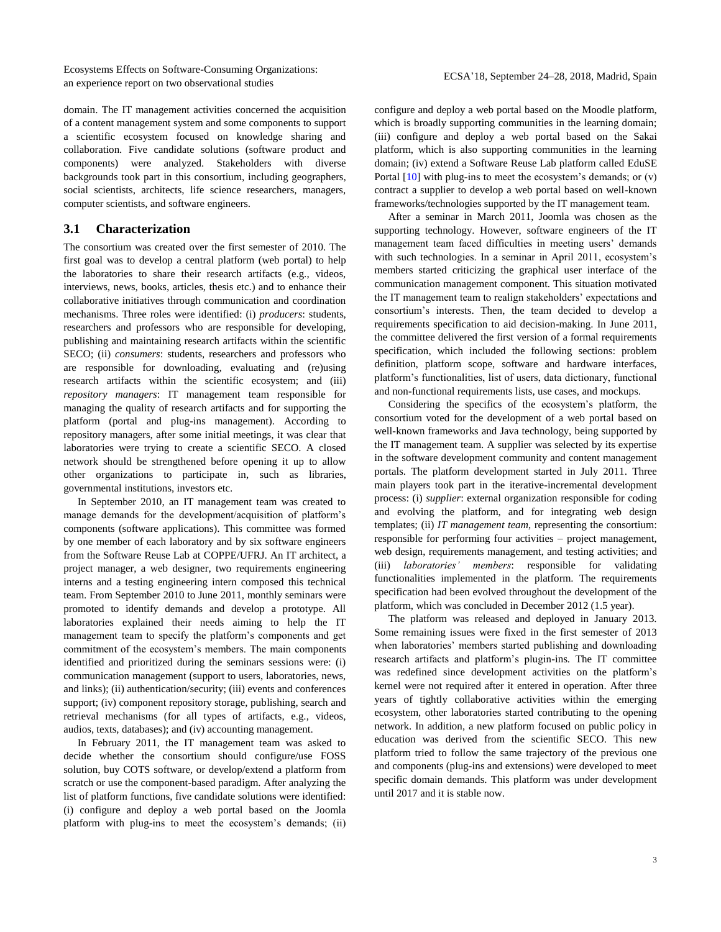Ecosystems Effects on Software-Consuming Organizations: ECSA'18, September 24–28, 2018, Madrid, Spain<br>an experience report on two observational studies

domain. The IT management activities concerned the acquisition of a content management system and some components to support a scientific ecosystem focused on knowledge sharing and collaboration. Five candidate solutions (software product and components) were analyzed. Stakeholders with diverse backgrounds took part in this consortium, including geographers, social scientists, architects, life science researchers, managers, computer scientists, and software engineers.

#### **3.1 Characterization**

The consortium was created over the first semester of 2010. The first goal was to develop a central platform (web portal) to help the laboratories to share their research artifacts (e.g., videos, interviews, news, books, articles, thesis etc.) and to enhance their collaborative initiatives through communication and coordination mechanisms. Three roles were identified: (i) *producers*: students, researchers and professors who are responsible for developing, publishing and maintaining research artifacts within the scientific SECO; (ii) *consumers*: students, researchers and professors who are responsible for downloading, evaluating and (re)using research artifacts within the scientific ecosystem; and (iii) *repository managers*: IT management team responsible for managing the quality of research artifacts and for supporting the platform (portal and plug-ins management). According to repository managers, after some initial meetings, it was clear that laboratories were trying to create a scientific SECO. A closed network should be strengthened before opening it up to allow other organizations to participate in, such as libraries, governmental institutions, investors etc.

In September 2010, an IT management team was created to manage demands for the development/acquisition of platform's components (software applications). This committee was formed by one member of each laboratory and by six software engineers from the Software Reuse Lab at COPPE/UFRJ. An IT architect, a project manager, a web designer, two requirements engineering interns and a testing engineering intern composed this technical team. From September 2010 to June 2011, monthly seminars were promoted to identify demands and develop a prototype. All laboratories explained their needs aiming to help the IT management team to specify the platform's components and get commitment of the ecosystem's members. The main components identified and prioritized during the seminars sessions were: (i) communication management (support to users, laboratories, news, and links); (ii) authentication/security; (iii) events and conferences support; (iv) component repository storage, publishing, search and retrieval mechanisms (for all types of artifacts, e.g., videos, audios, texts, databases); and (iv) accounting management.

In February 2011, the IT management team was asked to decide whether the consortium should configure/use FOSS solution, buy COTS software, or develop/extend a platform from scratch or use the component-based paradigm. After analyzing the list of platform functions, five candidate solutions were identified: (i) configure and deploy a web portal based on the Joomla platform with plug-ins to meet the ecosystem's demands; (ii) configure and deploy a web portal based on the Moodle platform, which is broadly supporting communities in the learning domain; (iii) configure and deploy a web portal based on the Sakai platform, which is also supporting communities in the learning domain; (iv) extend a Software Reuse Lab platform called EduSE Portal  $[10]$  with plug-ins to meet the ecosystem's demands; or  $(v)$ contract a supplier to develop a web portal based on well-known frameworks/technologies supported by the IT management team.

After a seminar in March 2011, Joomla was chosen as the supporting technology. However, software engineers of the IT management team faced difficulties in meeting users' demands with such technologies. In a seminar in April 2011, ecosystem's members started criticizing the graphical user interface of the communication management component. This situation motivated the IT management team to realign stakeholders' expectations and consortium's interests. Then, the team decided to develop a requirements specification to aid decision-making. In June 2011, the committee delivered the first version of a formal requirements specification, which included the following sections: problem definition, platform scope, software and hardware interfaces, platform's functionalities, list of users, data dictionary, functional and non-functional requirements lists, use cases, and mockups.

Considering the specifics of the ecosystem's platform, the consortium voted for the development of a web portal based on well-known frameworks and Java technology, being supported by the IT management team. A supplier was selected by its expertise in the software development community and content management portals. The platform development started in July 2011. Three main players took part in the iterative-incremental development process: (i) *supplier*: external organization responsible for coding and evolving the platform, and for integrating web design templates; (ii) *IT management team*, representing the consortium: responsible for performing four activities – project management, web design, requirements management, and testing activities; and (iii) *laboratories' members*: responsible for validating functionalities implemented in the platform. The requirements specification had been evolved throughout the development of the platform, which was concluded in December 2012 (1.5 year).

The platform was released and deployed in January 2013. Some remaining issues were fixed in the first semester of 2013 when laboratories' members started publishing and downloading research artifacts and platform's plugin-ins. The IT committee was redefined since development activities on the platform's kernel were not required after it entered in operation. After three years of tightly collaborative activities within the emerging ecosystem, other laboratories started contributing to the opening network. In addition, a new platform focused on public policy in education was derived from the scientific SECO. This new platform tried to follow the same trajectory of the previous one and components (plug-ins and extensions) were developed to meet specific domain demands. This platform was under development until 2017 and it is stable now.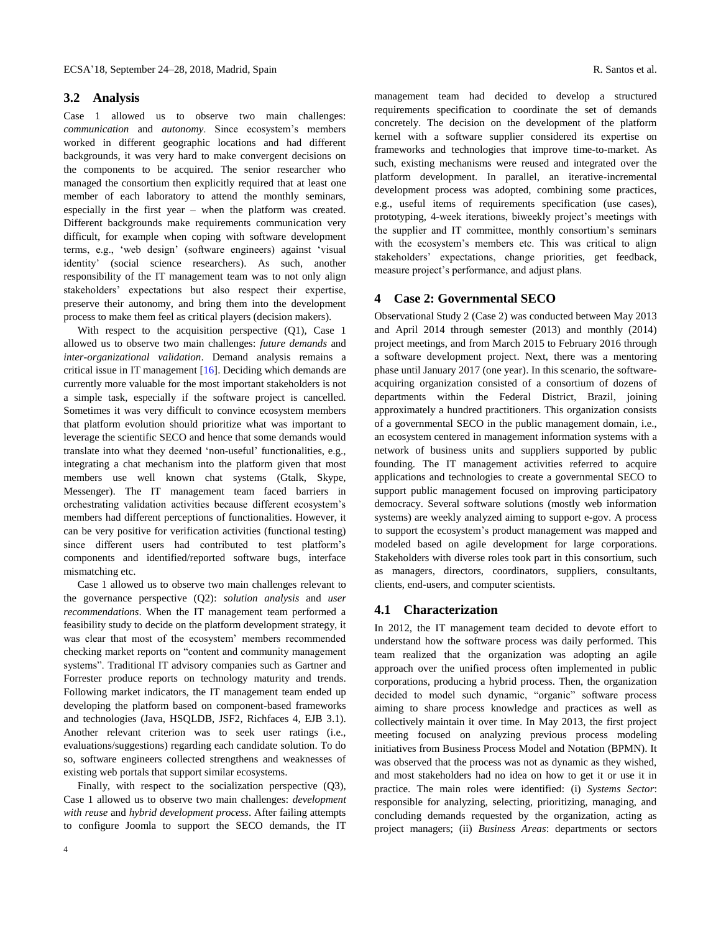#### **3.2 Analysis**

Case 1 allowed us to observe two main challenges: *communication* and *autonomy*. Since ecosystem's members worked in different geographic locations and had different backgrounds, it was very hard to make convergent decisions on the components to be acquired. The senior researcher who managed the consortium then explicitly required that at least one member of each laboratory to attend the monthly seminars, especially in the first year – when the platform was created. Different backgrounds make requirements communication very difficult, for example when coping with software development terms, e.g., 'web design' (software engineers) against 'visual identity' (social science researchers). As such, another responsibility of the IT management team was to not only align stakeholders' expectations but also respect their expertise, preserve their autonomy, and bring them into the development process to make them feel as critical players (decision makers).

With respect to the acquisition perspective (Q1), Case 1 allowed us to observe two main challenges: *future demands* and *inter-organizational validation*. Demand analysis remains a critical issue in IT management [16]. Deciding which demands are currently more valuable for the most important stakeholders is not a simple task, especially if the software project is cancelled. Sometimes it was very difficult to convince ecosystem members that platform evolution should prioritize what was important to leverage the scientific SECO and hence that some demands would translate into what they deemed 'non-useful' functionalities, e.g., integrating a chat mechanism into the platform given that most members use well known chat systems (Gtalk, Skype, Messenger). The IT management team faced barriers in orchestrating validation activities because different ecosystem's members had different perceptions of functionalities. However, it can be very positive for verification activities (functional testing) since different users had contributed to test platform's components and identified/reported software bugs, interface mismatching etc.

Case 1 allowed us to observe two main challenges relevant to the governance perspective (Q2): *solution analysis* and *user recommendations*. When the IT management team performed a feasibility study to decide on the platform development strategy, it was clear that most of the ecosystem' members recommended checking market reports on "content and community management systems". Traditional IT advisory companies such as Gartner and Forrester produce reports on technology maturity and trends. Following market indicators, the IT management team ended up developing the platform based on component-based frameworks and technologies (Java, HSQLDB, JSF2, Richfaces 4, EJB 3.1). Another relevant criterion was to seek user ratings (i.e., evaluations/suggestions) regarding each candidate solution. To do so, software engineers collected strengthens and weaknesses of existing web portals that support similar ecosystems.

Finally, with respect to the socialization perspective (O3), Case 1 allowed us to observe two main challenges: *development with reuse* and *hybrid development process*. After failing attempts to configure Joomla to support the SECO demands, the IT

management team had decided to develop a structured requirements specification to coordinate the set of demands concretely. The decision on the development of the platform kernel with a software supplier considered its expertise on frameworks and technologies that improve time-to-market. As such, existing mechanisms were reused and integrated over the platform development. In parallel, an iterative-incremental development process was adopted, combining some practices, e.g., useful items of requirements specification (use cases), prototyping, 4-week iterations, biweekly project's meetings with the supplier and IT committee, monthly consortium's seminars with the ecosystem's members etc. This was critical to align stakeholders' expectations, change priorities, get feedback, measure project's performance, and adjust plans.

# **4 Case 2: Governmental SECO**

Observational Study 2 (Case 2) was conducted between May 2013 and April 2014 through semester (2013) and monthly (2014) project meetings, and from March 2015 to February 2016 through a software development project. Next, there was a mentoring phase until January 2017 (one year). In this scenario, the softwareacquiring organization consisted of a consortium of dozens of departments within the Federal District, Brazil, joining approximately a hundred practitioners. This organization consists of a governmental SECO in the public management domain, i.e., an ecosystem centered in management information systems with a network of business units and suppliers supported by public founding. The IT management activities referred to acquire applications and technologies to create a governmental SECO to support public management focused on improving participatory democracy. Several software solutions (mostly web information systems) are weekly analyzed aiming to support e-gov. A process to support the ecosystem's product management was mapped and modeled based on agile development for large corporations. Stakeholders with diverse roles took part in this consortium, such as managers, directors, coordinators, suppliers, consultants, clients, end-users, and computer scientists.

## **4.1 Characterization**

In 2012, the IT management team decided to devote effort to understand how the software process was daily performed. This team realized that the organization was adopting an agile approach over the unified process often implemented in public corporations, producing a hybrid process. Then, the organization decided to model such dynamic, "organic" software process aiming to share process knowledge and practices as well as collectively maintain it over time. In May 2013, the first project meeting focused on analyzing previous process modeling initiatives from Business Process Model and Notation (BPMN). It was observed that the process was not as dynamic as they wished, and most stakeholders had no idea on how to get it or use it in practice. The main roles were identified: (i) *Systems Sector*: responsible for analyzing, selecting, prioritizing, managing, and concluding demands requested by the organization, acting as project managers; (ii) *Business Areas*: departments or sectors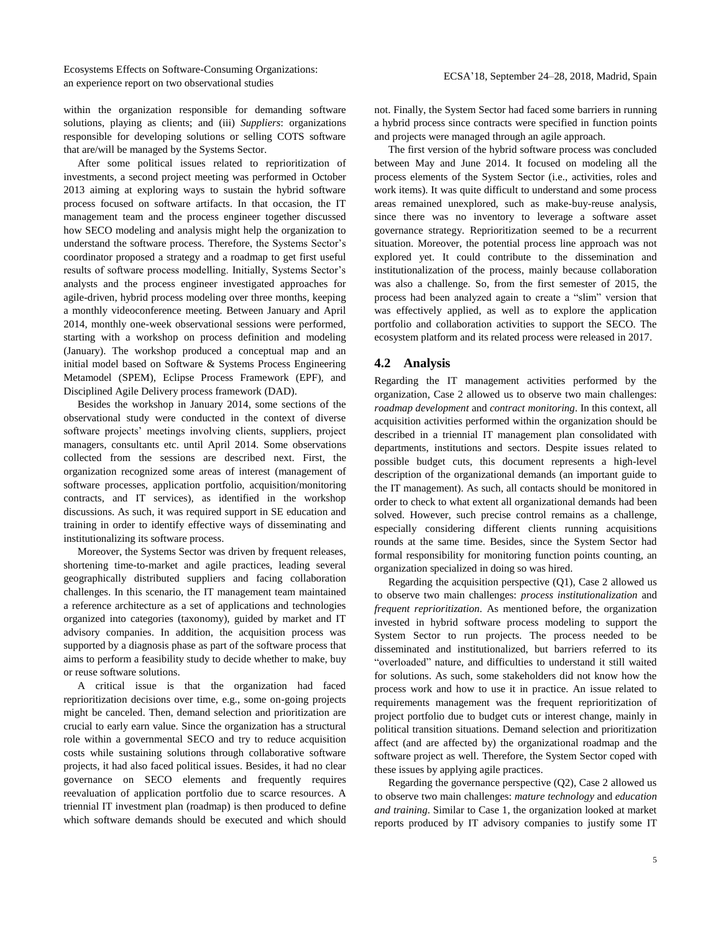Ecosystems Effects on Software-Consuming Organizations: ECSA'18, September 24–28, 2018, Madrid, Spain<br>an experience report on two observational studies

within the organization responsible for demanding software solutions, playing as clients; and (iii) *Suppliers*: organizations responsible for developing solutions or selling COTS software that are/will be managed by the Systems Sector.

After some political issues related to reprioritization of investments, a second project meeting was performed in October 2013 aiming at exploring ways to sustain the hybrid software process focused on software artifacts. In that occasion, the IT management team and the process engineer together discussed how SECO modeling and analysis might help the organization to understand the software process. Therefore, the Systems Sector's coordinator proposed a strategy and a roadmap to get first useful results of software process modelling. Initially, Systems Sector's analysts and the process engineer investigated approaches for agile-driven, hybrid process modeling over three months, keeping a monthly videoconference meeting. Between January and April 2014, monthly one-week observational sessions were performed, starting with a workshop on process definition and modeling (January). The workshop produced a conceptual map and an initial model based on Software & Systems Process Engineering Metamodel (SPEM), Eclipse Process Framework (EPF), and Disciplined Agile Delivery process framework (DAD).

Besides the workshop in January 2014, some sections of the observational study were conducted in the context of diverse software projects' meetings involving clients, suppliers, project managers, consultants etc. until April 2014. Some observations collected from the sessions are described next. First, the organization recognized some areas of interest (management of software processes, application portfolio, acquisition/monitoring contracts, and IT services), as identified in the workshop discussions. As such, it was required support in SE education and training in order to identify effective ways of disseminating and institutionalizing its software process.

Moreover, the Systems Sector was driven by frequent releases, shortening time-to-market and agile practices, leading several geographically distributed suppliers and facing collaboration challenges. In this scenario, the IT management team maintained a reference architecture as a set of applications and technologies organized into categories (taxonomy), guided by market and IT advisory companies. In addition, the acquisition process was supported by a diagnosis phase as part of the software process that aims to perform a feasibility study to decide whether to make, buy or reuse software solutions.

A critical issue is that the organization had faced reprioritization decisions over time, e.g., some on-going projects might be canceled. Then, demand selection and prioritization are crucial to early earn value. Since the organization has a structural role within a governmental SECO and try to reduce acquisition costs while sustaining solutions through collaborative software projects, it had also faced political issues. Besides, it had no clear governance on SECO elements and frequently requires reevaluation of application portfolio due to scarce resources. A triennial IT investment plan (roadmap) is then produced to define which software demands should be executed and which should not. Finally, the System Sector had faced some barriers in running a hybrid process since contracts were specified in function points and projects were managed through an agile approach.

The first version of the hybrid software process was concluded between May and June 2014. It focused on modeling all the process elements of the System Sector (i.e., activities, roles and work items). It was quite difficult to understand and some process areas remained unexplored, such as make-buy-reuse analysis, since there was no inventory to leverage a software asset governance strategy. Reprioritization seemed to be a recurrent situation. Moreover, the potential process line approach was not explored yet. It could contribute to the dissemination and institutionalization of the process, mainly because collaboration was also a challenge. So, from the first semester of 2015, the process had been analyzed again to create a "slim" version that was effectively applied, as well as to explore the application portfolio and collaboration activities to support the SECO. The ecosystem platform and its related process were released in 2017.

#### **4.2 Analysis**

Regarding the IT management activities performed by the organization, Case 2 allowed us to observe two main challenges: *roadmap development* and *contract monitoring*. In this context, all acquisition activities performed within the organization should be described in a triennial IT management plan consolidated with departments, institutions and sectors. Despite issues related to possible budget cuts, this document represents a high-level description of the organizational demands (an important guide to the IT management). As such, all contacts should be monitored in order to check to what extent all organizational demands had been solved. However, such precise control remains as a challenge, especially considering different clients running acquisitions rounds at the same time. Besides, since the System Sector had formal responsibility for monitoring function points counting, an organization specialized in doing so was hired.

Regarding the acquisition perspective (Q1), Case 2 allowed us to observe two main challenges: *process institutionalization* and *frequent reprioritization*. As mentioned before, the organization invested in hybrid software process modeling to support the System Sector to run projects. The process needed to be disseminated and institutionalized, but barriers referred to its "overloaded" nature, and difficulties to understand it still waited for solutions. As such, some stakeholders did not know how the process work and how to use it in practice. An issue related to requirements management was the frequent reprioritization of project portfolio due to budget cuts or interest change, mainly in political transition situations. Demand selection and prioritization affect (and are affected by) the organizational roadmap and the software project as well. Therefore, the System Sector coped with these issues by applying agile practices.

Regarding the governance perspective (Q2), Case 2 allowed us to observe two main challenges: *mature technology* and *education and training*. Similar to Case 1, the organization looked at market reports produced by IT advisory companies to justify some IT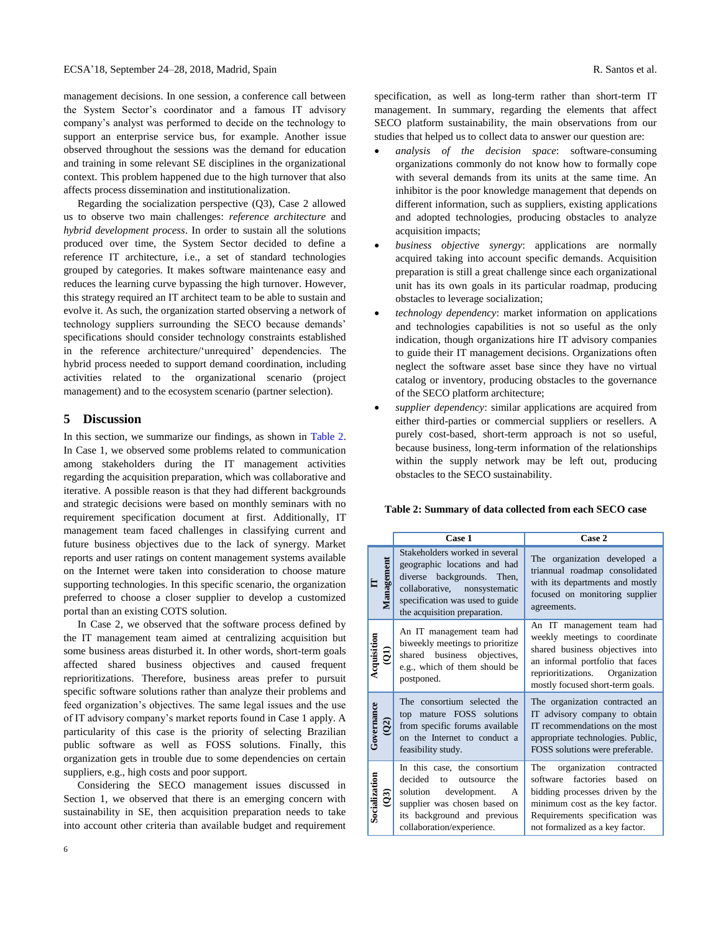management decisions. In one session, a conference call between the System Sector's coordinator and a famous IT advisory company's analyst was performed to decide on the technology to support an enterprise service bus, for example. Another issue observed throughout the sessions was the demand for education and training in some relevant SE disciplines in the organizational context. This problem happened due to the high turnover that also affects process dissemination and institutionalization.

Regarding the socialization perspective (Q3), Case 2 allowed us to observe two main challenges: *reference architecture* and *hybrid development process*. In order to sustain all the solutions produced over time, the System Sector decided to define a reference IT architecture, i.e., a set of standard technologies grouped by categories. It makes software maintenance easy and reduces the learning curve bypassing the high turnover. However, this strategy required an IT architect team to be able to sustain and evolve it. As such, the organization started observing a network of technology suppliers surrounding the SECO because demands' specifications should consider technology constraints established in the reference architecture/'unrequired' dependencies. The hybrid process needed to support demand coordination, including activities related to the organizational scenario (project management) and to the ecosystem scenario (partner selection).

### **5 Discussion**

In this section, we summarize our findings, as shown in Table 2. In Case 1, we observed some problems related to communication among stakeholders during the IT management activities regarding the acquisition preparation, which was collaborative and iterative. A possible reason is that they had different backgrounds and strategic decisions were based on monthly seminars with no requirement specification document at first. Additionally, IT management team faced challenges in classifying current and future business objectives due to the lack of synergy. Market reports and user ratings on content management systems available on the Internet were taken into consideration to choose mature supporting technologies. In this specific scenario, the organization preferred to choose a closer supplier to develop a customized portal than an existing COTS solution.

In Case 2, we observed that the software process defined by the IT management team aimed at centralizing acquisition but some business areas disturbed it. In other words, short-term goals affected shared business objectives and caused frequent reprioritizations. Therefore, business areas prefer to pursuit specific software solutions rather than analyze their problems and feed organization's objectives. The same legal issues and the use of IT advisory company's market reports found in Case 1 apply. A particularity of this case is the priority of selecting Brazilian public software as well as FOSS solutions. Finally, this organization gets in trouble due to some dependencies on certain suppliers, e.g., high costs and poor support.

Considering the SECO management issues discussed in Section 1, we observed that there is an emerging concern with sustainability in SE, then acquisition preparation needs to take into account other criteria than available budget and requirement

specification, as well as long-term rather than short-term IT management. In summary, regarding the elements that affect SECO platform sustainability, the main observations from our studies that helped us to collect data to answer our question are:

- *analysis of the decision space*: software-consuming organizations commonly do not know how to formally cope with several demands from its units at the same time. An inhibitor is the poor knowledge management that depends on different information, such as suppliers, existing applications and adopted technologies, producing obstacles to analyze acquisition impacts;
- *business objective synergy*: applications are normally acquired taking into account specific demands. Acquisition preparation is still a great challenge since each organizational unit has its own goals in its particular roadmap, producing obstacles to leverage socialization;
- *technology dependency*: market information on applications and technologies capabilities is not so useful as the only indication, though organizations hire IT advisory companies to guide their IT management decisions. Organizations often neglect the software asset base since they have no virtual catalog or inventory, producing obstacles to the governance of the SECO platform architecture;
- *supplier dependency*: similar applications are acquired from either third-parties or commercial suppliers or resellers. A purely cost-based, short-term approach is not so useful, because business, long-term information of the relationships within the supply network may be left out, producing obstacles to the SECO sustainability.

#### **Table 2: Summary of data collected from each SECO case**

|                              | Case 1                                                                                                                                                                                          | Case 2                                                                                                                                                                                                               |
|------------------------------|-------------------------------------------------------------------------------------------------------------------------------------------------------------------------------------------------|----------------------------------------------------------------------------------------------------------------------------------------------------------------------------------------------------------------------|
| Management<br>E              | Stakeholders worked in several<br>geographic locations and had<br>diverse backgrounds. Then,<br>collaborative, nonsystematic<br>specification was used to guide<br>the acquisition preparation. | The organization developed a<br>triannual roadmap consolidated<br>with its departments and mostly<br>focused on monitoring supplier<br>agreements.                                                                   |
| Acquisition<br>(Q1)          | An IT management team had<br>biweekly meetings to prioritize<br>shared business objectives,<br>e.g., which of them should be<br>postponed.                                                      | An IT management team had<br>weekly meetings to coordinate<br>shared business objectives into<br>an informal portfolio that faces<br>reprioritizations. Organization<br>mostly focused short-term goals.             |
| Governance<br>$\overline{Q}$ | The consortium selected the<br>top mature FOSS solutions<br>from specific forums available<br>on the Internet to conduct a<br>feasibility study.                                                | The organization contracted an<br>IT advisory company to obtain<br>IT recommendations on the most<br>appropriate technologies. Public,<br>FOSS solutions were preferable.                                            |
| Socialization                | In this case, the consortium<br>decided<br>the<br>to outsource<br>solution<br>development.<br>A<br>supplier was chosen based on<br>its background and previous<br>collaboration/experience.     | organization contracted<br>The<br>software factories<br>based<br>$\alpha$<br>bidding processes driven by the<br>minimum cost as the key factor.<br>Requirements specification was<br>not formalized as a key factor. |